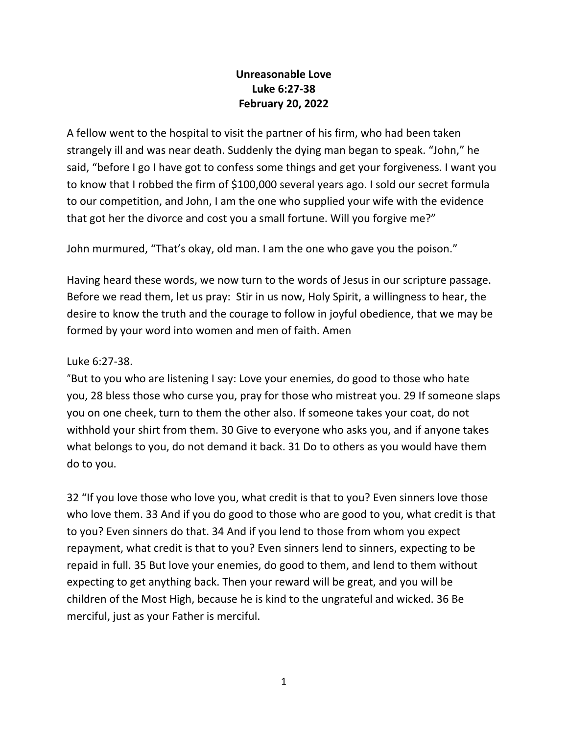## **Unreasonable Love Luke 6:27-38 February 20, 2022**

A fellow went to the hospital to visit the partner of his firm, who had been taken strangely ill and was near death. Suddenly the dying man began to speak. "John," he said, "before I go I have got to confess some things and get your forgiveness. I want you to know that I robbed the firm of \$100,000 several years ago. I sold our secret formula to our competition, and John, I am the one who supplied your wife with the evidence that got her the divorce and cost you a small fortune. Will you forgive me?"

John murmured, "That's okay, old man. I am the one who gave you the poison."

Having heard these words, we now turn to the words of Jesus in our scripture passage. Before we read them, let us pray: Stir in us now, Holy Spirit, a willingness to hear, the desire to know the truth and the courage to follow in joyful obedience, that we may be formed by your word into women and men of faith. Amen

## Luke 6:27-38.

"But to you who are listening I say: Love your enemies, do good to those who hate you, 28 bless those who curse you, pray for those who mistreat you. 29 If someone slaps you on one cheek, turn to them the other also. If someone takes your coat, do not withhold your shirt from them. 30 Give to everyone who asks you, and if anyone takes what belongs to you, do not demand it back. 31 Do to others as you would have them do to you.

32 "If you love those who love you, what credit is that to you? Even sinners love those who love them. 33 And if you do good to those who are good to you, what credit is that to you? Even sinners do that. 34 And if you lend to those from whom you expect repayment, what credit is that to you? Even sinners lend to sinners, expecting to be repaid in full. 35 But love your enemies, do good to them, and lend to them without expecting to get anything back. Then your reward will be great, and you will be children of the Most High, because he is kind to the ungrateful and wicked. 36 Be merciful, just as your Father is merciful.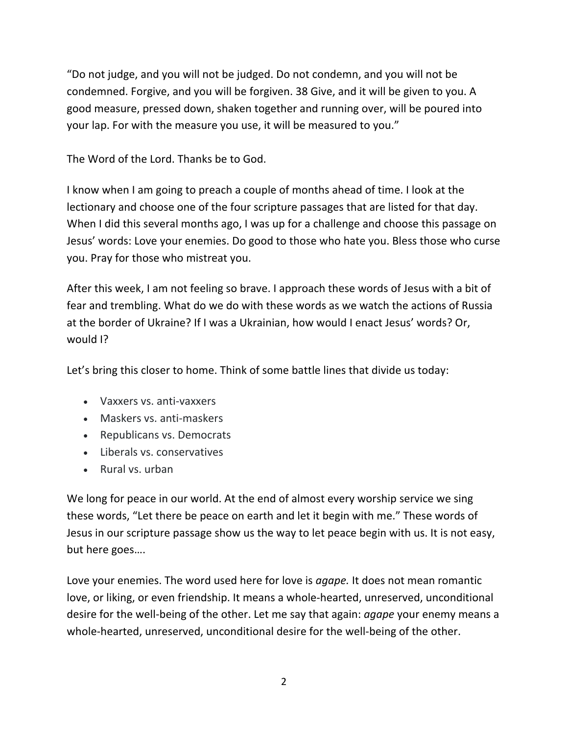"Do not judge, and you will not be judged. Do not condemn, and you will not be condemned. Forgive, and you will be forgiven. 38 Give, and it will be given to you. A good measure, pressed down, shaken together and running over, will be poured into your lap. For with the measure you use, it will be measured to you."

The Word of the Lord. Thanks be to God.

I know when I am going to preach a couple of months ahead of time. I look at the lectionary and choose one of the four scripture passages that are listed for that day. When I did this several months ago, I was up for a challenge and choose this passage on Jesus' words: Love your enemies. Do good to those who hate you. Bless those who curse you. Pray for those who mistreat you.

After this week, I am not feeling so brave. I approach these words of Jesus with a bit of fear and trembling. What do we do with these words as we watch the actions of Russia at the border of Ukraine? If I was a Ukrainian, how would I enact Jesus' words? Or, would I?

Let's bring this closer to home. Think of some battle lines that divide us today:

- Vaxxers vs. anti-vaxxers
- Maskers vs. anti-maskers
- Republicans vs. Democrats
- Liberals vs. conservatives
- Rural vs. urban

We long for peace in our world. At the end of almost every worship service we sing these words, "Let there be peace on earth and let it begin with me." These words of Jesus in our scripture passage show us the way to let peace begin with us. It is not easy, but here goes….

Love your enemies. The word used here for love is *agape.* It does not mean romantic love, or liking, or even friendship. It means a whole-hearted, unreserved, unconditional desire for the well-being of the other. Let me say that again: *agape* your enemy means a whole-hearted, unreserved, unconditional desire for the well-being of the other.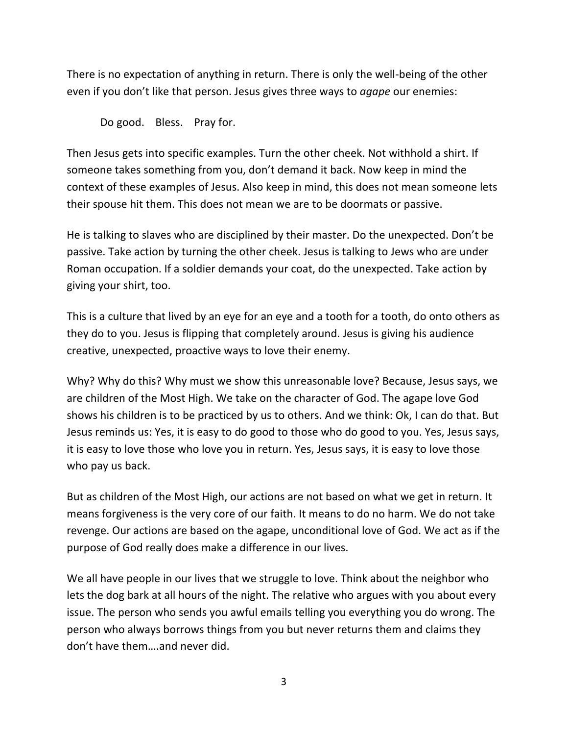There is no expectation of anything in return. There is only the well-being of the other even if you don't like that person. Jesus gives three ways to *agape* our enemies:

Do good. Bless. Pray for.

Then Jesus gets into specific examples. Turn the other cheek. Not withhold a shirt. If someone takes something from you, don't demand it back. Now keep in mind the context of these examples of Jesus. Also keep in mind, this does not mean someone lets their spouse hit them. This does not mean we are to be doormats or passive.

He is talking to slaves who are disciplined by their master. Do the unexpected. Don't be passive. Take action by turning the other cheek. Jesus is talking to Jews who are under Roman occupation. If a soldier demands your coat, do the unexpected. Take action by giving your shirt, too.

This is a culture that lived by an eye for an eye and a tooth for a tooth, do onto others as they do to you. Jesus is flipping that completely around. Jesus is giving his audience creative, unexpected, proactive ways to love their enemy.

Why? Why do this? Why must we show this unreasonable love? Because, Jesus says, we are children of the Most High. We take on the character of God. The agape love God shows his children is to be practiced by us to others. And we think: Ok, I can do that. But Jesus reminds us: Yes, it is easy to do good to those who do good to you. Yes, Jesus says, it is easy to love those who love you in return. Yes, Jesus says, it is easy to love those who pay us back.

But as children of the Most High, our actions are not based on what we get in return. It means forgiveness is the very core of our faith. It means to do no harm. We do not take revenge. Our actions are based on the agape, unconditional love of God. We act as if the purpose of God really does make a difference in our lives.

We all have people in our lives that we struggle to love. Think about the neighbor who lets the dog bark at all hours of the night. The relative who argues with you about every issue. The person who sends you awful emails telling you everything you do wrong. The person who always borrows things from you but never returns them and claims they don't have them….and never did.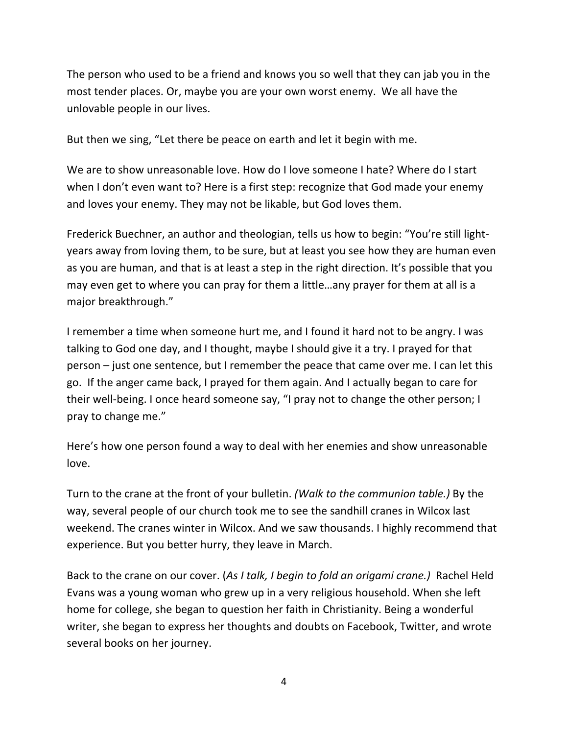The person who used to be a friend and knows you so well that they can jab you in the most tender places. Or, maybe you are your own worst enemy. We all have the unlovable people in our lives.

But then we sing, "Let there be peace on earth and let it begin with me.

We are to show unreasonable love. How do I love someone I hate? Where do I start when I don't even want to? Here is a first step: recognize that God made your enemy and loves your enemy. They may not be likable, but God loves them.

Frederick Buechner, an author and theologian, tells us how to begin: "You're still lightyears away from loving them, to be sure, but at least you see how they are human even as you are human, and that is at least a step in the right direction. It's possible that you may even get to where you can pray for them a little…any prayer for them at all is a major breakthrough."

I remember a time when someone hurt me, and I found it hard not to be angry. I was talking to God one day, and I thought, maybe I should give it a try. I prayed for that person – just one sentence, but I remember the peace that came over me. I can let this go. If the anger came back, I prayed for them again. And I actually began to care for their well-being. I once heard someone say, "I pray not to change the other person; I pray to change me."

Here's how one person found a way to deal with her enemies and show unreasonable love.

Turn to the crane at the front of your bulletin. *(Walk to the communion table.)* By the way, several people of our church took me to see the sandhill cranes in Wilcox last weekend. The cranes winter in Wilcox. And we saw thousands. I highly recommend that experience. But you better hurry, they leave in March.

Back to the crane on our cover. (*As I talk, I begin to fold an origami crane.)* Rachel Held Evans was a young woman who grew up in a very religious household. When she left home for college, she began to question her faith in Christianity. Being a wonderful writer, she began to express her thoughts and doubts on Facebook, Twitter, and wrote several books on her journey.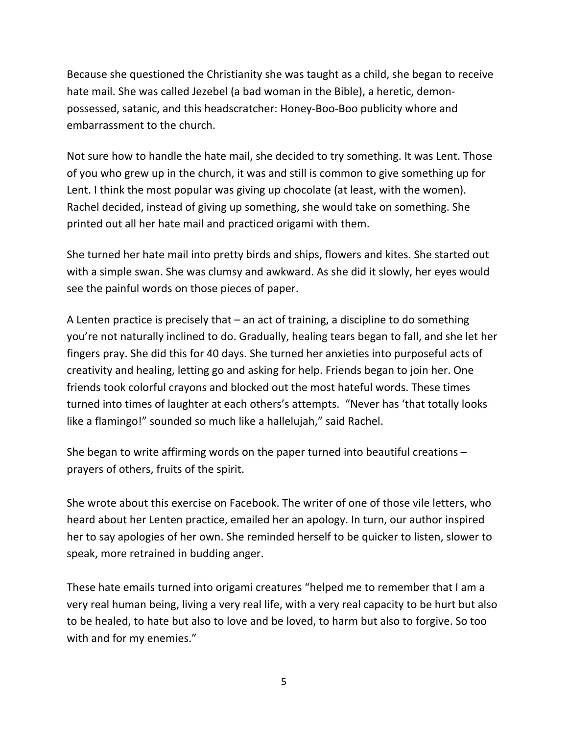Because she questioned the Christianity she was taught as a child, she began to receive hate mail. She was called Jezebel (a bad woman in the Bible), a heretic, demonpossessed, satanic, and this headscratcher: Honey-Boo-Boo publicity whore and embarrassment to the church.

Not sure how to handle the hate mail, she decided to try something. It was Lent. Those of you who grew up in the church, it was and still is common to give something up for Lent. I think the most popular was giving up chocolate (at least, with the women). Rachel decided, instead of giving up something, she would take on something. She printed out all her hate mail and practiced origami with them.

She turned her hate mail into pretty birds and ships, flowers and kites. She started out with a simple swan. She was clumsy and awkward. As she did it slowly, her eyes would see the painful words on those pieces of paper.

A Lenten practice is precisely that – an act of training, a discipline to do something you're not naturally inclined to do. Gradually, healing tears began to fall, and she let her fingers pray. She did this for 40 days. She turned her anxieties into purposeful acts of creativity and healing, letting go and asking for help. Friends began to join her. One friends took colorful crayons and blocked out the most hateful words. These times turned into times of laughter at each others's attempts. "Never has 'that totally looks like a flamingo!" sounded so much like a hallelujah," said Rachel.

She began to write affirming words on the paper turned into beautiful creations – prayers of others, fruits of the spirit.

She wrote about this exercise on Facebook. The writer of one of those vile letters, who heard about her Lenten practice, emailed her an apology. In turn, our author inspired her to say apologies of her own. She reminded herself to be quicker to listen, slower to speak, more retrained in budding anger.

These hate emails turned into origami creatures "helped me to remember that I am a very real human being, living a very real life, with a very real capacity to be hurt but also to be healed, to hate but also to love and be loved, to harm but also to forgive. So too with and for my enemies."